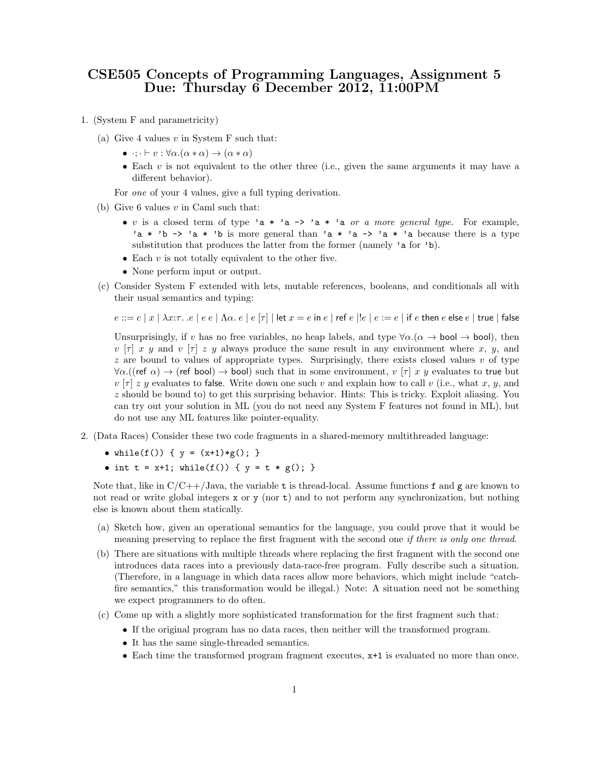## CSE505 Concepts of Programming Languages, Assignment 5 Due: Thursday 6 December 2012, 11:00PM

- 1. (System F and parametricity)
	- (a) Give 4 values  $v$  in System F such that:
		- $\bullet \quad \cdot; \cdot \vdash v : \forall \alpha . (\alpha * \alpha) \rightarrow (\alpha * \alpha)$
		- Each v is not equivalent to the other three (i.e., given the same arguments it may have a different behavior).

For *one* of your 4 values, give a full typing derivation.

- (b) Give 6 values  $v$  in Caml such that:
	- v is a closed term of type 'a \* 'a -> 'a \* 'a or a more general type. For example, 'a \* 'b -> 'a \* 'b is more general than 'a \* 'a -> 'a \* 'a because there is a type substitution that produces the latter from the former (namely 'a for 'b).
	- Each  $v$  is not totally equivalent to the other five.
	- None perform input or output.
- (c) Consider System F extended with lets, mutable references, booleans, and conditionals all with their usual semantics and typing:

$$
e ::= c \mid x \mid \lambda x{:}\tau.\hspace{2pt} . \hspace{2pt} e \mid e \mid \Lambda \alpha.\hspace{2pt} e \mid e \left[ \tau \right] \mid \textsf{let } x = e \textsf{ in } e \mid \textsf{ref } e \mid !e \mid e := e \mid \textsf{if } e \textsf{ then } e \textsf{ else } e \mid \textsf{true} \mid \textsf{false}
$$

Unsurprisingly, if v has no free variables, no heap labels, and type  $\forall \alpha.(\alpha \to \text{bool} \to \text{bool})$ , then  $v [\tau]$  x y and  $v [\tau]$  z y always produce the same result in any environment where x, y, and  $z$  are bound to values of appropriate types. Surprisingly, there exists closed values  $v$  of type  $\forall \alpha.$  ((ref  $\alpha$ )  $\rightarrow$  (ref bool)  $\rightarrow$  bool) such that in some environment, v [ $\tau$ ] x y evaluates to true but  $v(\tau) z y$  evaluates to false. Write down one such v and explain how to call v (i.e., what x, y, and z should be bound to) to get this surprising behavior. Hints: This is tricky. Exploit aliasing. You can try out your solution in ML (you do not need any System F features not found in ML), but do not use any ML features like pointer-equality.

- 2. (Data Races) Consider these two code fragments in a shared-memory multithreaded language:
	- while(f()) {  $y = (x+1)*g()$ ; }
	- int  $t = x+1$ ; while(f()) {  $y = t * g()$ ; }

Note that, like in  $C/C++/Java$ , the variable t is thread-local. Assume functions f and g are known to not read or write global integers x or y (nor t) and to not perform any synchronization, but nothing else is known about them statically.

- (a) Sketch how, given an operational semantics for the language, you could prove that it would be meaning preserving to replace the first fragment with the second one *if there is only one thread*.
- (b) There are situations with multiple threads where replacing the first fragment with the second one introduces data races into a previously data-race-free program. Fully describe such a situation. (Therefore, in a language in which data races allow more behaviors, which might include "catchfire semantics," this transformation would be illegal.) Note: A situation need not be something we expect programmers to do often.
- (c) Come up with a slightly more sophisticated transformation for the first fragment such that:
	- If the original program has no data races, then neither will the transformed program.
	- It has the same single-threaded semantics.
	- Each time the transformed program fragment executes, x+1 is evaluated no more than once.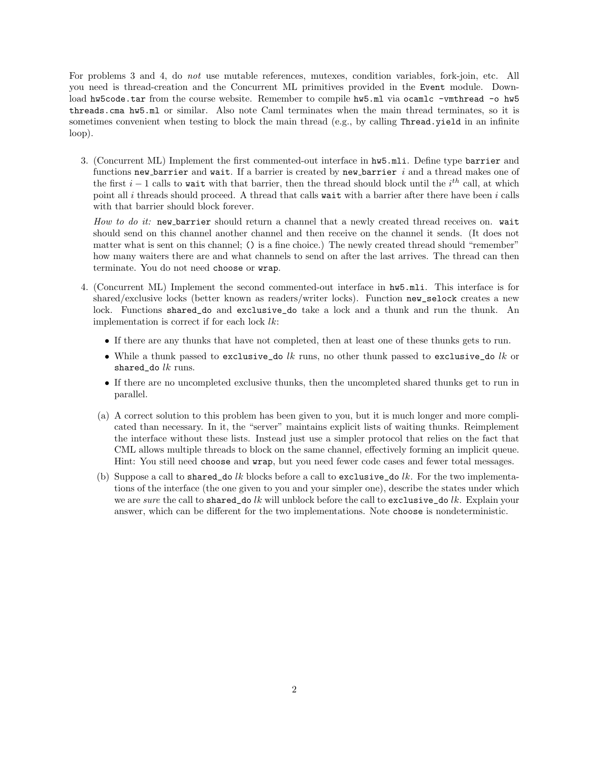For problems 3 and 4, do not use mutable references, mutexes, condition variables, fork-join, etc. All you need is thread-creation and the Concurrent ML primitives provided in the Event module. Download hw5code.tar from the course website. Remember to compile hw5.ml via ocamlc -vmthread -o hw5 threads.cma hw5.ml or similar. Also note Caml terminates when the main thread terminates, so it is sometimes convenient when testing to block the main thread (e.g., by calling Thread.yield in an infinite loop).

3. (Concurrent ML) Implement the first commented-out interface in hw5.mli. Define type barrier and functions new barrier and wait. If a barrier is created by new barrier  $i$  and a thread makes one of the first  $i - 1$  calls to wait with that barrier, then the thread should block until the  $i<sup>th</sup>$  call, at which point all  $i$  threads should proceed. A thread that calls wait with a barrier after there have been  $i$  calls with that barrier should block forever.

How to do it: new barrier should return a channel that a newly created thread receives on. wait should send on this channel another channel and then receive on the channel it sends. (It does not matter what is sent on this channel; () is a fine choice.) The newly created thread should "remember" how many waiters there are and what channels to send on after the last arrives. The thread can then terminate. You do not need choose or wrap.

- 4. (Concurrent ML) Implement the second commented-out interface in hw5.mli. This interface is for shared/exclusive locks (better known as readers/writer locks). Function new\_selock creates a new lock. Functions shared\_do and exclusive\_do take a lock and a thunk and run the thunk. An implementation is correct if for each lock lk:
	- If there are any thunks that have not completed, then at least one of these thunks gets to run.
	- While a thunk passed to exclusive\_do  $lk$  runs, no other thunk passed to exclusive\_do  $lk$  or shared\_do  $lk$  runs.
	- If there are no uncompleted exclusive thunks, then the uncompleted shared thunks get to run in parallel.
	- (a) A correct solution to this problem has been given to you, but it is much longer and more complicated than necessary. In it, the "server" maintains explicit lists of waiting thunks. Reimplement the interface without these lists. Instead just use a simpler protocol that relies on the fact that CML allows multiple threads to block on the same channel, effectively forming an implicit queue. Hint: You still need choose and wrap, but you need fewer code cases and fewer total messages.
	- (b) Suppose a call to shared\_do lk blocks before a call to exclusive\_do lk. For the two implementations of the interface (the one given to you and your simpler one), describe the states under which we are sure the call to shared\_do lk will unblock before the call to exclusive\_do lk. Explain your answer, which can be different for the two implementations. Note choose is nondeterministic.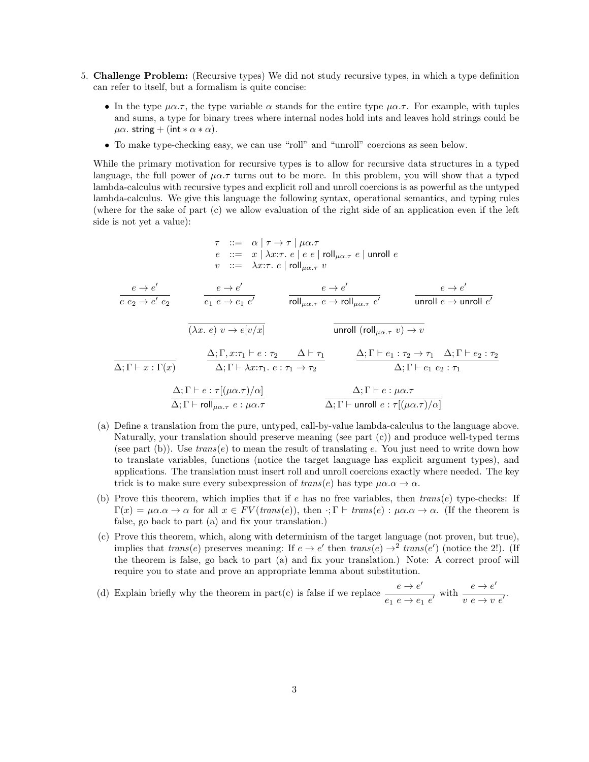- 5. Challenge Problem: (Recursive types) We did not study recursive types, in which a type definition can refer to itself, but a formalism is quite concise:
	- In the type  $\mu\alpha.\tau$ , the type variable  $\alpha$  stands for the entire type  $\mu\alpha.\tau$ . For example, with tuples and sums, a type for binary trees where internal nodes hold ints and leaves hold strings could be  $\mu\alpha$ . string + (int \*  $\alpha$  \*  $\alpha$ ).
	- To make type-checking easy, we can use "roll" and "unroll" coercions as seen below.

While the primary motivation for recursive types is to allow for recursive data structures in a typed language, the full power of  $\mu\alpha.\tau$  turns out to be more. In this problem, you will show that a typed lambda-calculus with recursive types and explicit roll and unroll coercions is as powerful as the untyped lambda-calculus. We give this language the following syntax, operational semantics, and typing rules (where for the sake of part (c) we allow evaluation of the right side of an application even if the left side is not yet a value):

$$
\tau ::= \alpha | \tau \rightarrow \tau | \mu \alpha . \tau
$$
  
\n
$$
e ::= x | \lambda x : \tau . e | e e | \text{roll}_{\mu \alpha . \tau} e | \text{unroll} e
$$
  
\n
$$
v ::= \lambda x : \tau . e | \text{roll}_{\mu \alpha . \tau} v
$$

 $e \rightarrow e'$  $e\ e_2 \rightarrow e'\ e_2$  $e \rightarrow e'$  $e_1 e \rightarrow e_1 e'$  $e \rightarrow e'$ roll $\mu_{\alpha.\tau}$   $e \rightarrow$  roll $\mu_{\alpha.\tau}$   $e'$  $e \rightarrow e'$ unroll  $e \rightarrow$  unroll  $e'$  $\overline{(\lambda x. e) v \rightarrow e[v/x]}$  unroll  $(\text{roll}_{\mu\alpha.\tau} v) \rightarrow v$  $\Delta; \Gamma \vdash x : \Gamma(x)$  $\Delta; \Gamma, x:\tau_1 \vdash e : \tau_2 \quad \Delta \vdash \tau_1$  $\Delta; \Gamma \vdash \lambda x{:}\tau_1. e : \tau_1 \rightarrow \tau_2$  $\Delta; \Gamma \vdash e_1 : \tau_2 \rightarrow \tau_1 \quad \Delta; \Gamma \vdash e_2 : \tau_2$  $\Delta; \Gamma \vdash e_1 \ e_2 : \tau_1$  $\Delta; \Gamma \vdash e : \tau[(\mu \alpha.\tau)/\alpha]$  $\Delta;\Gamma\vdash \mathsf{roll}_{\mu\alpha.\tau}$   $e:\mu\alpha.\tau$  $\Delta ; \Gamma \vdash e : \mu\alpha . \tau$  $\Delta; \Gamma \vdash$  unroll  $e : \tau[(\mu \alpha. \tau)/\alpha]$ 

- (a) Define a translation from the pure, untyped, call-by-value lambda-calculus to the language above. Naturally, your translation should preserve meaning (see part (c)) and produce well-typed terms (see part (b)). Use  $trans(e)$  to mean the result of translating e. You just need to write down how to translate variables, functions (notice the target language has explicit argument types), and applications. The translation must insert roll and unroll coercions exactly where needed. The key trick is to make sure every subexpression of  $trans(e)$  has type  $\mu\alpha.\alpha \rightarrow \alpha$ .
- (b) Prove this theorem, which implies that if e has no free variables, then  $trans(e)$  type-checks: If  $\Gamma(x) = \mu\alpha.\alpha \rightarrow \alpha$  for all  $x \in FV(trans(e)),$  then  $\cdot; \Gamma \vdash trans(e) : \mu\alpha.\alpha \rightarrow \alpha$ . (If the theorem is false, go back to part (a) and fix your translation.)
- (c) Prove this theorem, which, along with determinism of the target language (not proven, but true), implies that  $trans(e)$  preserves meaning: If  $e \rightarrow e'$  then  $trans(e) \rightarrow^2 trans(e')$  (notice the 2!). (If the theorem is false, go back to part (a) and fix your translation.) Note: A correct proof will require you to state and prove an appropriate lemma about substitution.
- (d) Explain briefly why the theorem in part(c) is false if we replace  $\frac{e \rightarrow e'}{e}$  $\frac{e \to e'}{e_1 \ e \to e_1 \ e'}$  with  $\frac{e \to e'}{v \ e \to v}$  $\frac{v}{v} e \rightarrow v e'$